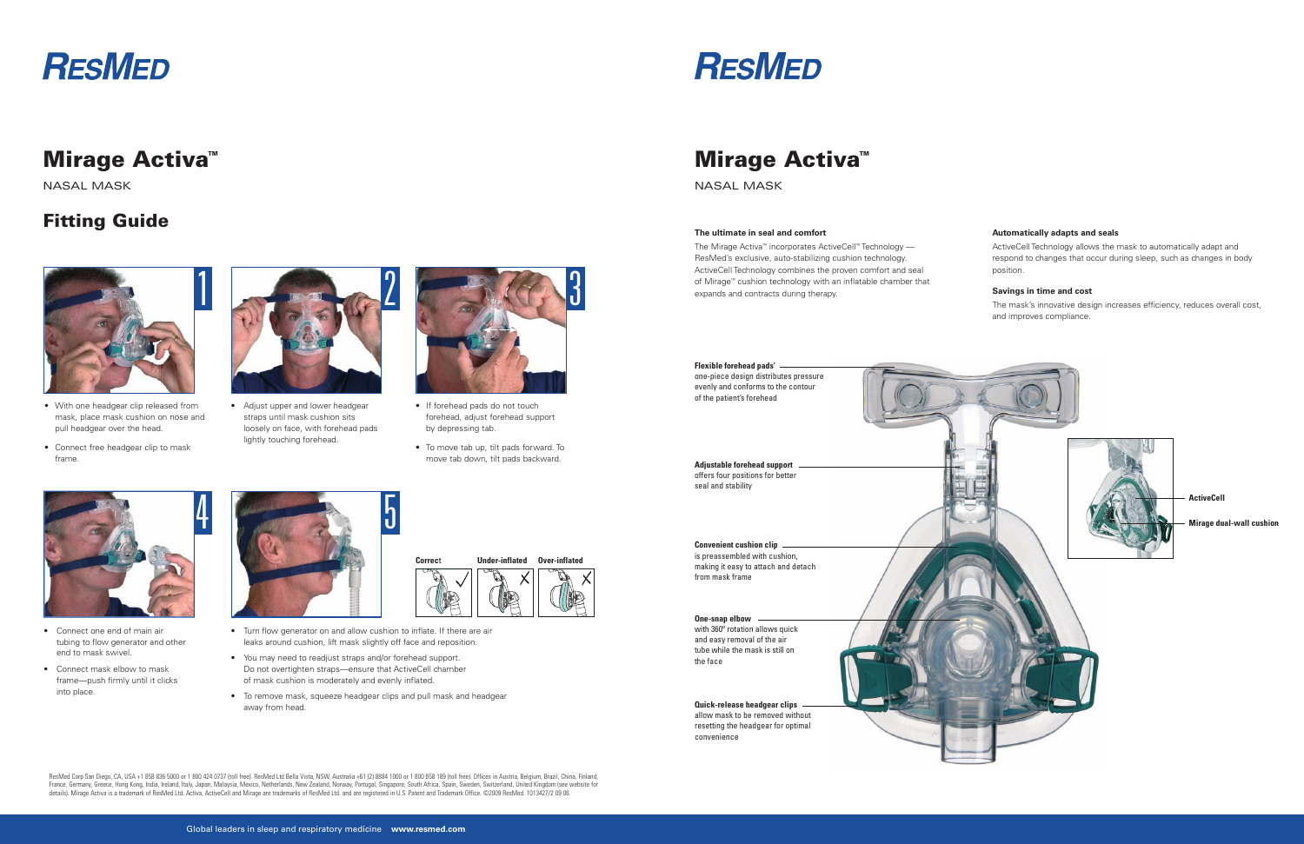# **RESMED**

## **Mirage Activa™**

NASAL MASK

### **Fitting Guide**



- With one headgear clip released from mask, place mask cushion on nose and pull headgear over the head.
- Connect free headgear clip to mask frame.

 • Adjust upper and lower headgear straps until mask cushion sits loosely on face, with forehead pads lightly touching forehead.



- Connect one end of main air tubing to flow generator and other end to mask swivel.
- Connect mask elbow to mask frame—push firmly until it clicks into place.
- Turn flow generator on and allow cushion to inflate. If there are air leaks around cushion, lift mask slightly off face and reposition.
- You may need to readjust straps and/or forehead support. Do not overtighten straps—ensure that ActiveCell chamber of mask cushion is moderately and evenly inflated.
- To remove mask, squeeze headgear clips and pull mask and headgear away from head.

ResMed Corp San Diego, CA, USA +1 858 836 5000 or 1 800 424 0737 (toll free). ResMed Ltd Bella Vista, NSW, Australia +61 (2) 8884 1000 or 1 800 658 189 (toll free). Offices in Austria, Belgium, Brazil, China, Finland, France, Germany, Greece, Hong Kong, India, Ireland, Italy, Japan, Malaysia, Mexico, Netherlands, New Zealand, Norway, Portugal, Singapore, South Africa, Spain, Sweden, Switzerland, United Kingdom (see website for details). Mirage Activa is a trademark of ResMed Ltd. Activa, ActiveCell and Mirage are trademarks of ResMed Ltd. and are registered in U.S. Patent and Trademark Office. ©2009 ResMed. 1013427/2 09 06



- If forehead pads do not touch forehead, adjust forehead support by depressing tab.
- To move tab up, tilt pads forward. To move tab down, tilt pads backward.





#### **The ultimate in seal and comfort**

The Mirage Activa™ incorporates ActiveCell™ Technology — ResMed's exclusive, auto-stabilizing cushion technology. ActiveCell Technology combines the proven comfort and seal of Mirage™ cushion technology with an inflatable chamber that expands and contracts during therapy.

#### **Automatically adapts and seals**

ActiveCell Technology allows the mask to automatically adapt and respond to changes that occur during sleep, such as changes in body position.

#### **Savings in time and cost**

The mask's innovative design increases efficiency, reduces overall cost, and improves compliance.

| Flexible forehead pads' -<br>one-piece design distributes pressure<br>evenly and conforms to the contour<br>of the patient's forehead |  |
|---------------------------------------------------------------------------------------------------------------------------------------|--|
| <b>Adjustable forehead support</b><br>offers four positions for better<br>seal and stability                                          |  |
|                                                                                                                                       |  |
| Convenient cushion clip -<br>is preassembled with cushion,<br>making it easy to attach and detach<br>from mask frame                  |  |
| One-snap elbow<br>with 360° rotation allows quick<br>and easy removal of the air<br>tube while the mask is still on<br>the face       |  |
| Quick-release headgear clips<br>allow mask to be removed without<br>resetting the headgear for optimal<br>convenience                 |  |





**Correc**t **Under-inflated Over-inflated**

# **Mirage Activa™**

NASAL MASK